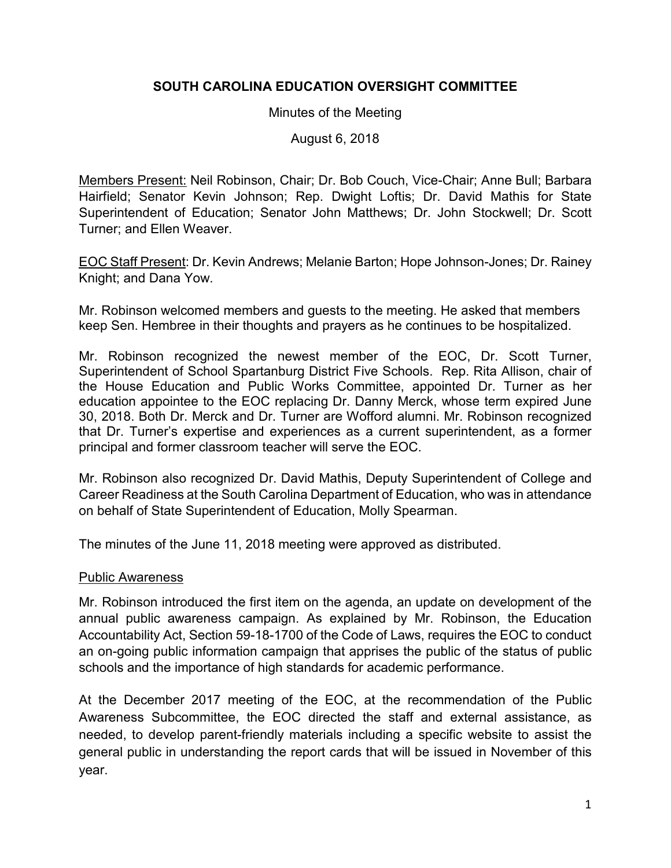# **SOUTH CAROLINA EDUCATION OVERSIGHT COMMITTEE**

#### Minutes of the Meeting

August 6, 2018

Members Present: Neil Robinson, Chair; Dr. Bob Couch, Vice-Chair; Anne Bull; Barbara Hairfield; Senator Kevin Johnson; Rep. Dwight Loftis; Dr. David Mathis for State Superintendent of Education; Senator John Matthews; Dr. John Stockwell; Dr. Scott Turner; and Ellen Weaver.

EOC Staff Present: Dr. Kevin Andrews; Melanie Barton; Hope Johnson-Jones; Dr. Rainey Knight; and Dana Yow.

Mr. Robinson welcomed members and guests to the meeting. He asked that members keep Sen. Hembree in their thoughts and prayers as he continues to be hospitalized.

Mr. Robinson recognized the newest member of the EOC, Dr. Scott Turner, Superintendent of School Spartanburg District Five Schools. Rep. Rita Allison, chair of the House Education and Public Works Committee, appointed Dr. Turner as her education appointee to the EOC replacing Dr. Danny Merck, whose term expired June 30, 2018. Both Dr. Merck and Dr. Turner are Wofford alumni. Mr. Robinson recognized that Dr. Turner's expertise and experiences as a current superintendent, as a former principal and former classroom teacher will serve the EOC.

Mr. Robinson also recognized Dr. David Mathis, Deputy Superintendent of College and Career Readiness at the South Carolina Department of Education, who was in attendance on behalf of State Superintendent of Education, Molly Spearman.

The minutes of the June 11, 2018 meeting were approved as distributed.

## Public Awareness

Mr. Robinson introduced the first item on the agenda, an update on development of the annual public awareness campaign. As explained by Mr. Robinson, the Education Accountability Act, Section 59-18-1700 of the Code of Laws, requires the EOC to conduct an on-going public information campaign that apprises the public of the status of public schools and the importance of high standards for academic performance.

At the December 2017 meeting of the EOC, at the recommendation of the Public Awareness Subcommittee, the EOC directed the staff and external assistance, as needed, to develop parent-friendly materials including a specific website to assist the general public in understanding the report cards that will be issued in November of this year.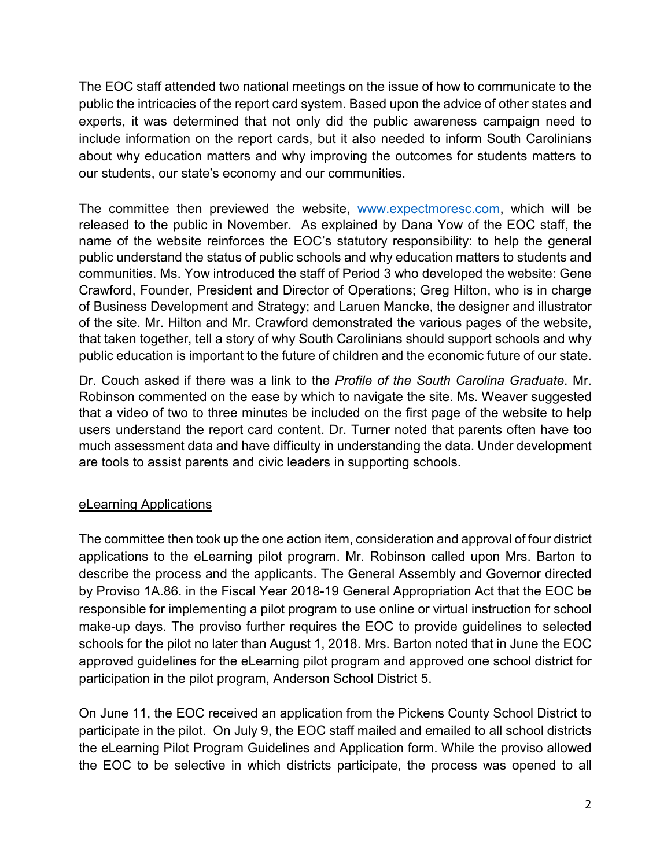The EOC staff attended two national meetings on the issue of how to communicate to the public the intricacies of the report card system. Based upon the advice of other states and experts, it was determined that not only did the public awareness campaign need to include information on the report cards, but it also needed to inform South Carolinians about why education matters and why improving the outcomes for students matters to our students, our state's economy and our communities.

The committee then previewed the website, [www.expectmoresc.com,](http://www.expectmoresc.com/) which will be released to the public in November. As explained by Dana Yow of the EOC staff, the name of the website reinforces the EOC's statutory responsibility: to help the general public understand the status of public schools and why education matters to students and communities. Ms. Yow introduced the staff of Period 3 who developed the website: Gene Crawford, Founder, President and Director of Operations; Greg Hilton, who is in charge of Business Development and Strategy; and Laruen Mancke, the designer and illustrator of the site. Mr. Hilton and Mr. Crawford demonstrated the various pages of the website, that taken together, tell a story of why South Carolinians should support schools and why public education is important to the future of children and the economic future of our state.

Dr. Couch asked if there was a link to the *Profile of the South Carolina Graduate*. Mr. Robinson commented on the ease by which to navigate the site. Ms. Weaver suggested that a video of two to three minutes be included on the first page of the website to help users understand the report card content. Dr. Turner noted that parents often have too much assessment data and have difficulty in understanding the data. Under development are tools to assist parents and civic leaders in supporting schools.

## eLearning Applications

The committee then took up the one action item, consideration and approval of four district applications to the eLearning pilot program. Mr. Robinson called upon Mrs. Barton to describe the process and the applicants. The General Assembly and Governor directed by Proviso 1A.86. in the Fiscal Year 2018-19 General Appropriation Act that the EOC be responsible for implementing a pilot program to use online or virtual instruction for school make-up days. The proviso further requires the EOC to provide guidelines to selected schools for the pilot no later than August 1, 2018. Mrs. Barton noted that in June the EOC approved guidelines for the eLearning pilot program and approved one school district for participation in the pilot program, Anderson School District 5.

On June 11, the EOC received an application from the Pickens County School District to participate in the pilot. On July 9, the EOC staff mailed and emailed to all school districts the eLearning Pilot Program Guidelines and Application form. While the proviso allowed the EOC to be selective in which districts participate, the process was opened to all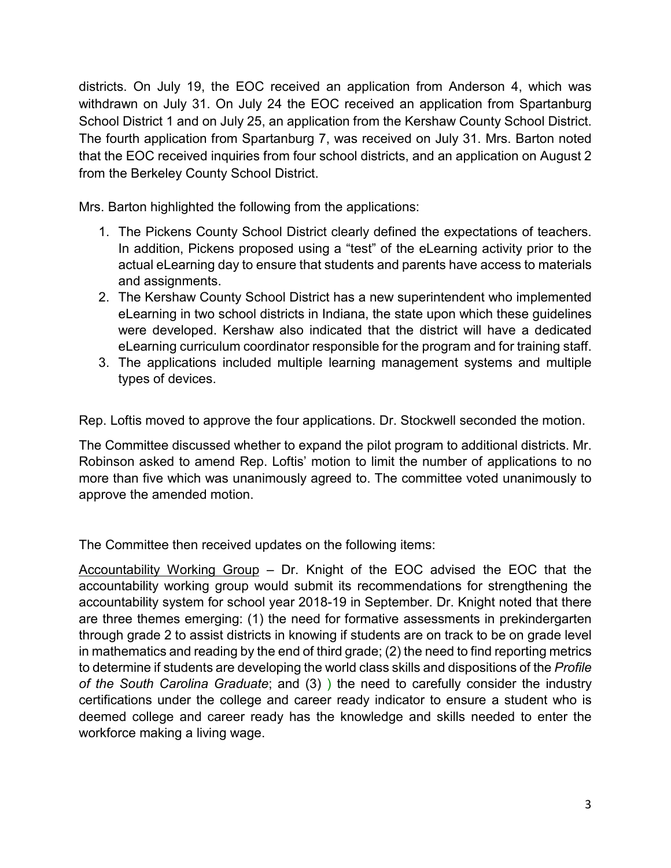districts. On July 19, the EOC received an application from Anderson 4, which was withdrawn on July 31. On July 24 the EOC received an application from Spartanburg School District 1 and on July 25, an application from the Kershaw County School District. The fourth application from Spartanburg 7, was received on July 31. Mrs. Barton noted that the EOC received inquiries from four school districts, and an application on August 2 from the Berkeley County School District.

Mrs. Barton highlighted the following from the applications:

- 1. The Pickens County School District clearly defined the expectations of teachers. In addition, Pickens proposed using a "test" of the eLearning activity prior to the actual eLearning day to ensure that students and parents have access to materials and assignments.
- 2. The Kershaw County School District has a new superintendent who implemented eLearning in two school districts in Indiana, the state upon which these guidelines were developed. Kershaw also indicated that the district will have a dedicated eLearning curriculum coordinator responsible for the program and for training staff.
- 3. The applications included multiple learning management systems and multiple types of devices.

Rep. Loftis moved to approve the four applications. Dr. Stockwell seconded the motion.

The Committee discussed whether to expand the pilot program to additional districts. Mr. Robinson asked to amend Rep. Loftis' motion to limit the number of applications to no more than five which was unanimously agreed to. The committee voted unanimously to approve the amended motion.

The Committee then received updates on the following items:

Accountability Working Group – Dr. Knight of the EOC advised the EOC that the accountability working group would submit its recommendations for strengthening the accountability system for school year 2018-19 in September. Dr. Knight noted that there are three themes emerging: (1) the need for formative assessments in prekindergarten through grade 2 to assist districts in knowing if students are on track to be on grade level in mathematics and reading by the end of third grade; (2) the need to find reporting metrics to determine if students are developing the world class skills and dispositions of the *Profile of the South Carolina Graduate*; and (3) ) the need to carefully consider the industry certifications under the college and career ready indicator to ensure a student who is deemed college and career ready has the knowledge and skills needed to enter the workforce making a living wage.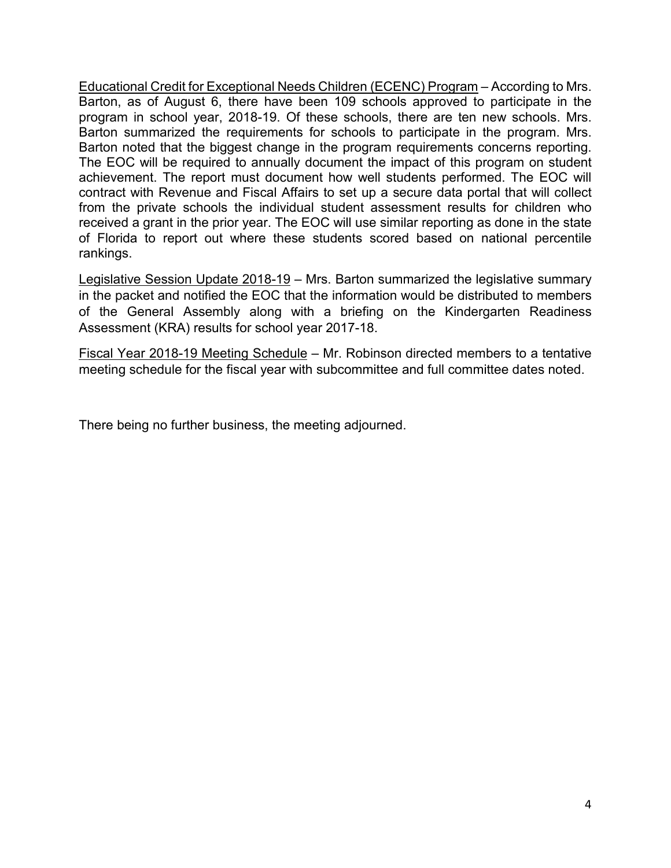Educational Credit for Exceptional Needs Children (ECENC) Program – According to Mrs. Barton, as of August 6, there have been 109 schools approved to participate in the program in school year, 2018-19. Of these schools, there are ten new schools. Mrs. Barton summarized the requirements for schools to participate in the program. Mrs. Barton noted that the biggest change in the program requirements concerns reporting. The EOC will be required to annually document the impact of this program on student achievement. The report must document how well students performed. The EOC will contract with Revenue and Fiscal Affairs to set up a secure data portal that will collect from the private schools the individual student assessment results for children who received a grant in the prior year. The EOC will use similar reporting as done in the state of Florida to report out where these students scored based on national percentile rankings.

Legislative Session Update 2018-19 - Mrs. Barton summarized the legislative summary in the packet and notified the EOC that the information would be distributed to members of the General Assembly along with a briefing on the Kindergarten Readiness Assessment (KRA) results for school year 2017-18.

Fiscal Year 2018-19 Meeting Schedule – Mr. Robinson directed members to a tentative meeting schedule for the fiscal year with subcommittee and full committee dates noted.

There being no further business, the meeting adjourned.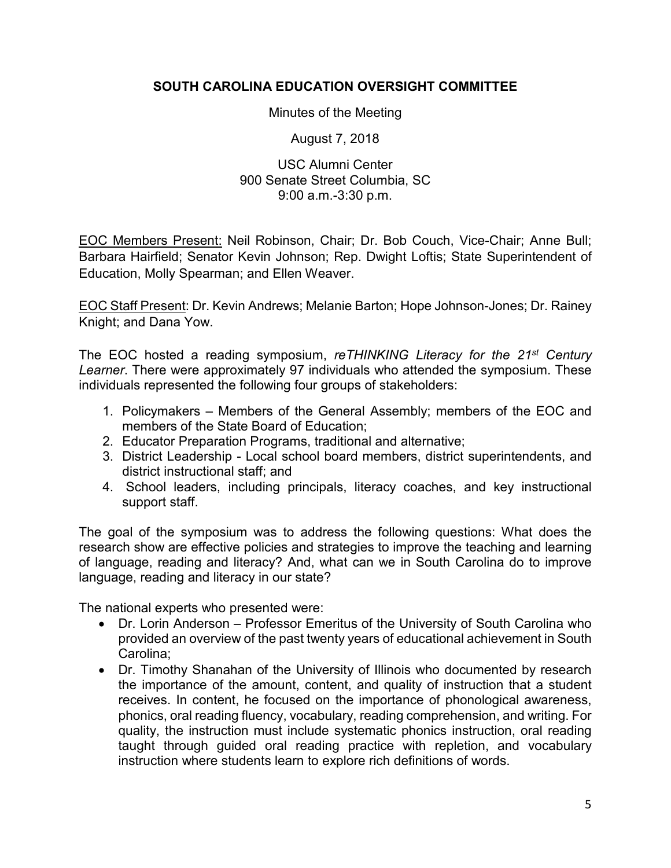## **SOUTH CAROLINA EDUCATION OVERSIGHT COMMITTEE**

#### Minutes of the Meeting

August 7, 2018

#### USC Alumni Center 900 Senate Street Columbia, SC 9:00 a.m.-3:30 p.m.

EOC Members Present: Neil Robinson, Chair; Dr. Bob Couch, Vice-Chair; Anne Bull; Barbara Hairfield; Senator Kevin Johnson; Rep. Dwight Loftis; State Superintendent of Education, Molly Spearman; and Ellen Weaver.

EOC Staff Present: Dr. Kevin Andrews; Melanie Barton; Hope Johnson-Jones; Dr. Rainey Knight; and Dana Yow.

The EOC hosted a reading symposium, *reTHINKING Literacy for the 21st Century Learner*. There were approximately 97 individuals who attended the symposium. These individuals represented the following four groups of stakeholders:

- 1. Policymakers Members of the General Assembly; members of the EOC and members of the State Board of Education;
- 2. Educator Preparation Programs, traditional and alternative;
- 3. District Leadership Local school board members, district superintendents, and district instructional staff; and
- 4. School leaders, including principals, literacy coaches, and key instructional support staff.

The goal of the symposium was to address the following questions: What does the research show are effective policies and strategies to improve the teaching and learning of language, reading and literacy? And, what can we in South Carolina do to improve language, reading and literacy in our state?

The national experts who presented were:

- Dr. Lorin Anderson Professor Emeritus of the University of South Carolina who provided an overview of the past twenty years of educational achievement in South Carolina;
- Dr. Timothy Shanahan of the University of Illinois who documented by research the importance of the amount, content, and quality of instruction that a student receives. In content, he focused on the importance of phonological awareness, phonics, oral reading fluency, vocabulary, reading comprehension, and writing. For quality, the instruction must include systematic phonics instruction, oral reading taught through guided oral reading practice with repletion, and vocabulary instruction where students learn to explore rich definitions of words.